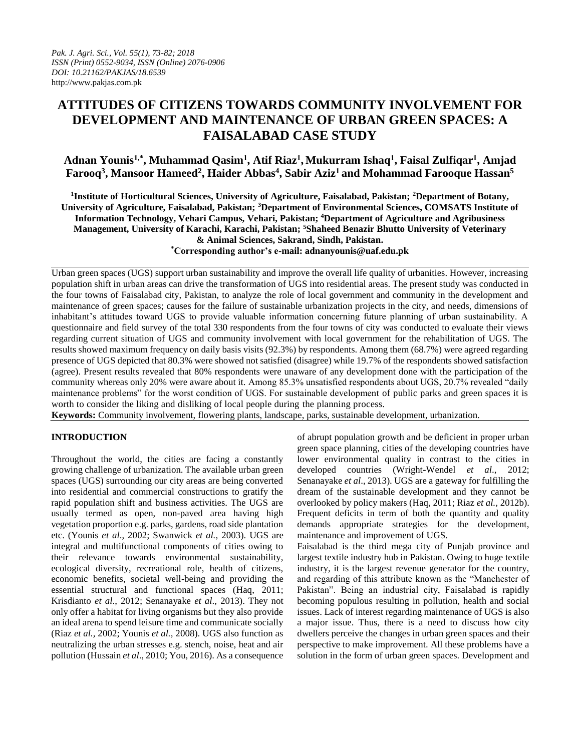# **ATTITUDES OF CITIZENS TOWARDS COMMUNITY INVOLVEMENT FOR DEVELOPMENT AND MAINTENANCE OF URBAN GREEN SPACES: A FAISALABAD CASE STUDY**

# **Adnan Younis1,\*, Muhammad Qasim<sup>1</sup> , Atif Riaz<sup>1</sup> , Mukurram Ishaq<sup>1</sup> , Faisal Zulfiqar<sup>1</sup> , Amjad Farooq<sup>3</sup> , Mansoor Hameed<sup>2</sup> , Haider Abbas<sup>4</sup> , Sabir Aziz<sup>1</sup> and Mohammad Farooque Hassan<sup>5</sup>**

**1 Institute of Horticultural Sciences, University of Agriculture, Faisalabad, Pakistan; <sup>2</sup>Department of Botany, University of Agriculture, Faisalabad, Pakistan; <sup>3</sup>Department of Environmental Sciences, COMSATS Institute of Information Technology, Vehari Campus, Vehari, Pakistan; <sup>4</sup>Department of Agriculture and Agribusiness Management, University of Karachi, Karachi, Pakistan; <sup>5</sup>Shaheed Benazir Bhutto University of Veterinary & Animal Sciences, Sakrand, Sindh, Pakistan. \*Corresponding author's e-mail: adnanyounis@uaf.edu.pk**

Urban green spaces (UGS) support urban sustainability and improve the overall life quality of urbanities. However, increasing population shift in urban areas can drive the transformation of UGS into residential areas. The present study was conducted in the four towns of Faisalabad city, Pakistan, to analyze the role of local government and community in the development and maintenance of green spaces; causes for the failure of sustainable urbanization projects in the city, and needs, dimensions of inhabitant's attitudes toward UGS to provide valuable information concerning future planning of urban sustainability. A questionnaire and field survey of the total 330 respondents from the four towns of city was conducted to evaluate their views regarding current situation of UGS and community involvement with local government for the rehabilitation of UGS. The results showed maximum frequency on daily basis visits (92.3%) by respondents. Among them (68.7%) were agreed regarding presence of UGS depicted that 80.3% were showed not satisfied (disagree) while 19.7% of the respondents showed satisfaction (agree). Present results revealed that 80% respondents were unaware of any development done with the participation of the community whereas only 20% were aware about it. Among 85.3% unsatisfied respondents about UGS, 20.7% revealed "daily maintenance problems" for the worst condition of UGS. For sustainable development of public parks and green spaces it is worth to consider the liking and disliking of local people during the planning process.

**Keywords:** Community involvement, flowering plants, landscape, parks, sustainable development, urbanization.

## **INTRODUCTION**

Throughout the world, the cities are facing a constantly growing challenge of urbanization. The available urban green spaces (UGS) surrounding our city areas are being converted into residential and commercial constructions to gratify the rapid population shift and business activities. The UGS are usually termed as open, non-paved area having high vegetation proportion e.g. parks, gardens, road side plantation etc. (Younis *et al*., 2002; Swanwick *et al.,* 2003). UGS are integral and multifunctional components of cities owing to their relevance towards environmental sustainability, ecological diversity, recreational role, health of citizens, economic benefits, societal well-being and providing the essential structural and functional spaces (Haq, 2011; Krisdianto *et al*., 2012; Senanayake *et al*., 2013). They not only offer a habitat for living organisms but they also provide an ideal arena to spend leisure time and communicate socially (Riaz *et al.,* 2002; Younis *et al.,* 2008). UGS also function as neutralizing the urban stresses e.g. stench, noise, heat and air pollution (Hussain *et al*., 2010; You, 2016). As a consequence

of abrupt population growth and be deficient in proper urban green space planning, cities of the developing countries have lower environmental quality in contrast to the cities in developed countries (Wright-Wendel *et al*., 2012; Senanayake *et al*., 2013). UGS are a gateway for fulfilling the dream of the sustainable development and they cannot be overlooked by policy makers (Haq, 2011; Riaz *et al.,* 2012b). Frequent deficits in term of both the quantity and quality demands appropriate strategies for the development, maintenance and improvement of UGS.

Faisalabad is the third mega city of Punjab province and largest textile industry hub in Pakistan. Owing to huge textile industry, it is the largest revenue generator for the country, and regarding of this attribute known as the "Manchester of Pakistan". Being an industrial city, Faisalabad is rapidly becoming populous resulting in pollution, health and social issues. Lack of interest regarding maintenance of UGS is also a major issue. Thus, there is a need to discuss how city dwellers perceive the changes in urban green spaces and their perspective to make improvement. All these problems have a solution in the form of urban green spaces. Development and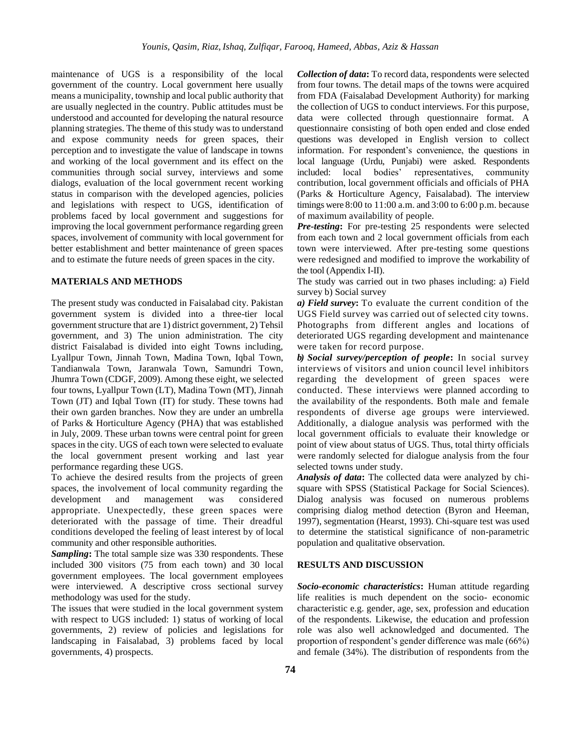maintenance of UGS is a responsibility of the local government of the country. Local government here usually means a municipality, township and local public authority that are usually neglected in the country. Public attitudes must be understood and accounted for developing the natural resource planning strategies. The theme of this study was to understand and expose community needs for green spaces, their perception and to investigate the value of landscape in towns and working of the local government and its effect on the communities through social survey, interviews and some dialogs, evaluation of the local government recent working status in comparison with the developed agencies, policies and legislations with respect to UGS, identification of problems faced by local government and suggestions for improving the local government performance regarding green spaces, involvement of community with local government for better establishment and better maintenance of green spaces and to estimate the future needs of green spaces in the city.

## **MATERIALS AND METHODS**

The present study was conducted in Faisalabad city. Pakistan government system is divided into a three-tier local government structure that are 1) district government, 2) Tehsil government, and 3) The union administration. The city district Faisalabad is divided into eight Towns including, Lyallpur Town, Jinnah Town, Madina Town, Iqbal Town, Tandianwala Town, Jaranwala Town, Samundri Town, Jhumra Town (CDGF, 2009). Among these eight, we selected four towns, Lyallpur Town (LT), Madina Town (MT), Jinnah Town (JT) and Iqbal Town (IT) for study. These towns had their own garden branches. Now they are under an umbrella of Parks & Horticulture Agency (PHA) that was established in July, 2009. These urban towns were central point for green spaces in the city. UGS of each town were selected to evaluate the local government present working and last year performance regarding these UGS.

To achieve the desired results from the projects of green spaces, the involvement of local community regarding the development and management was considered appropriate. Unexpectedly, these green spaces were deteriorated with the passage of time. Their dreadful conditions developed the feeling of least interest by of local community and other responsible authorities.

*Sampling***:** The total sample size was 330 respondents. These included 300 visitors (75 from each town) and 30 local government employees. The local government employees were interviewed. A descriptive cross sectional survey methodology was used for the study.

The issues that were studied in the local government system with respect to UGS included: 1) status of working of local governments, 2) review of policies and legislations for landscaping in Faisalabad, 3) problems faced by local governments, 4) prospects.

*Collection of data***:** To record data, respondents were selected from four towns. The detail maps of the towns were acquired from FDA (Faisalabad Development Authority) for marking the collection of UGS to conduct interviews. For this purpose, data were collected through questionnaire format. A questionnaire consisting of both open ended and close ended questions was developed in English version to collect information. For respondent's convenience, the questions in local language (Urdu, Punjabi) were asked. Respondents included: local bodies' representatives, community contribution, local government officials and officials of PHA (Parks & Horticulture Agency, Faisalabad). The interview timings were 8:00 to 11:00 a.m. and 3:00 to 6:00 p.m. because of maximum availability of people.

*Pre-testing***:** For pre-testing 25 respondents were selected from each town and 2 local government officials from each town were interviewed. After pre-testing some questions were redesigned and modified to improve the workability of the tool (Appendix I-II).

The study was carried out in two phases including: a) Field survey b) Social survey

*a) Field survey***:** To evaluate the current condition of the UGS Field survey was carried out of selected city towns. Photographs from different angles and locations of deteriorated UGS regarding development and maintenance were taken for record purpose.

*b) Social survey/perception of people***:** In social survey interviews of visitors and union council level inhibitors regarding the development of green spaces were conducted. These interviews were planned according to the availability of the respondents. Both male and female respondents of diverse age groups were interviewed. Additionally, a dialogue analysis was performed with the local government officials to evaluate their knowledge or point of view about status of UGS. Thus, total thirty officials were randomly selected for dialogue analysis from the four selected towns under study.

*Analysis of data***:** The collected data were analyzed by chisquare with SPSS (Statistical Package for Social Sciences). Dialog analysis was focused on numerous problems comprising dialog method detection (Byron and Heeman, 1997), segmentation (Hearst, 1993). Chi-square test was used to determine the statistical significance of non-parametric population and qualitative observation.

#### **RESULTS AND DISCUSSION**

*Socio-economic characteristics***:** Human attitude regarding life realities is much dependent on the socio- economic characteristic e.g. gender, age, sex, profession and education of the respondents. Likewise, the education and profession role was also well acknowledged and documented. The proportion of respondent's gender difference was male (66%) and female (34%). The distribution of respondents from the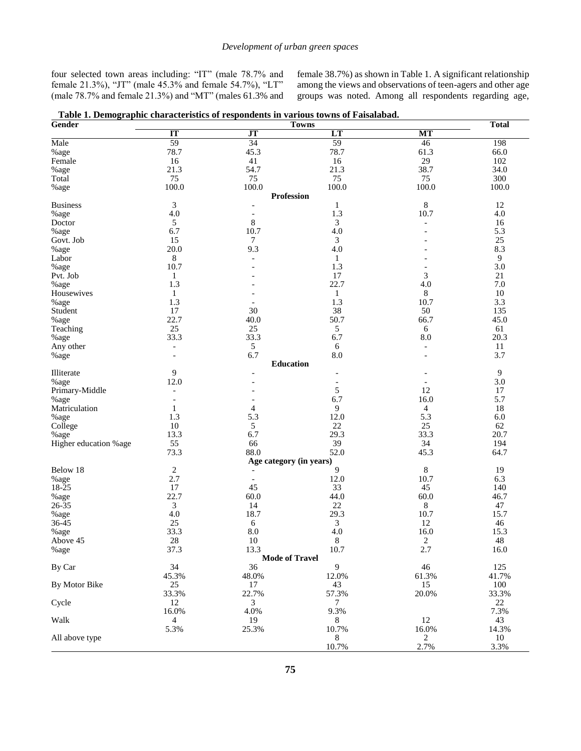four selected town areas including: "IT" (male 78.7% and female 21.3%), "JT" (male 45.3% and female 54.7%), "LT" (male 78.7% and female 21.3%) and "MT" (males 61.3% and female 38.7%) as shown in Table 1. A significant relationship among the views and observations of teen-agers and other age groups was noted. Among all respondents regarding age,

| Gender                | <b>Total</b>             |                         |                          |                          |                  |
|-----------------------|--------------------------|-------------------------|--------------------------|--------------------------|------------------|
|                       | IT                       | J <sub>T</sub>          | <b>Towns</b><br>LT       | MT                       |                  |
| Male                  | 59                       | 34                      | 59                       | 46                       | 198              |
| %age                  | 78.7                     | 45.3                    | 78.7                     | 61.3                     | 66.0             |
| Female                | 16                       | 41                      | 16                       | 29                       | 102              |
| %age                  | 21.3                     | 54.7                    | 21.3                     | 38.7                     | 34.0             |
| Total                 | 75                       | 75                      | 75                       | 75                       | 300              |
| %age                  | 100.0                    | 100.0                   | 100.0                    | 100.0                    | 100.0            |
|                       |                          | <b>Profession</b>       |                          |                          |                  |
| <b>Business</b>       | $\mathfrak{Z}$           |                         | 1                        | $\,$ 8 $\,$              | 12               |
| $\%$ age              | 4.0                      | $\overline{a}$          | 1.3                      | 10.7                     | 4.0              |
| Doctor                | 5                        | $\,$ 8 $\,$             | 3                        | $\overline{\phantom{a}}$ | 16               |
| %age                  | 6.7                      | 10.7                    | 4.0                      |                          | 5.3              |
| Govt. Job             | 15                       | $\tau$                  | 3                        |                          | 25               |
| $\%$ age              | 20.0                     | 9.3                     | 4.0                      |                          | 8.3              |
| Labor                 | $\,8\,$                  | $\overline{a}$          | 1                        |                          | $\overline{9}$   |
| %age                  | 10.7                     |                         | 1.3                      |                          | 3.0              |
| Pvt. Job              | 1                        |                         | 17                       | 3                        | 21               |
| %age                  | 1.3                      |                         | 22.7                     | 4.0                      | 7.0              |
| Housewives            | $\mathbf{1}$             |                         | $\mathbf{1}$             | 8                        | 10               |
| %age                  | 1.3                      |                         | 1.3                      | 10.7                     | 3.3              |
| Student               | 17                       | 30                      | 38                       | 50                       | 135              |
| %age                  | 22.7                     | 40.0                    | 50.7                     | 66.7                     | 45.0             |
| Teaching              | 25                       | 25                      | 5                        | 6                        | 61               |
| %age                  | 33.3                     | 33.3                    | 6.7                      | 8.0                      | 20.3             |
| Any other             | $\overline{\phantom{a}}$ | 5                       | 6                        | $\overline{\phantom{a}}$ | 11               |
| %age                  | $\overline{a}$           | 6.7                     | 8.0                      | $\overline{\phantom{a}}$ | 3.7              |
|                       |                          | <b>Education</b>        |                          |                          |                  |
| Illiterate            | $\mathbf{9}$             |                         |                          |                          | $\boldsymbol{9}$ |
| %age                  | 12.0                     |                         | $\overline{\phantom{a}}$ |                          | 3.0              |
| Primary-Middle        | $\overline{\phantom{0}}$ |                         | 5                        | 12                       | 17               |
| %age                  | $\overline{\phantom{a}}$ |                         | 6.7                      | 16.0                     | 5.7              |
| Matriculation         | $\mathbf{1}$             | 4                       | 9                        | $\overline{4}$           | 18               |
| %age                  | 1.3                      | 5.3                     | 12.0                     | 5.3                      | 6.0              |
| College               | $10\,$                   | 5                       | 22                       | 25                       | 62               |
| %age                  | 13.3                     | 6.7                     | 29.3                     | 33.3                     | 20.7             |
| Higher education %age | 55                       | 66                      | 39                       | 34                       | 194              |
|                       | 73.3                     | 88.0                    | 52.0                     | 45.3                     | 64.7             |
| Below 18              | $\sqrt{2}$               | Age category (in years) | 9                        | $\,8\,$                  | 19               |
|                       | 2.7                      |                         | 12.0                     | 10.7                     | 6.3              |
|                       | 17                       | 45                      | 33                       | 45                       | 140              |
| $\%$ age              | 22.7                     | 60.0                    | 44.0                     | 60.0                     | 46.7             |
| $26 - 35$             | 3                        | 14                      | 22                       | 8                        | 47               |
| %age                  | 4.0                      | 18.7                    | 29.3                     | 10.7                     | 15.7             |
| $36 - 45$             | $25\,$                   | 6                       | 3                        | 12                       | 46               |
| %age                  | 33.3                     | 8.0                     | 4.0                      | 16.0                     | 15.3             |
| Above 45              | $28\,$                   | 10                      | 8                        | 2                        | $\sqrt{48}$      |
| %age                  | 37.3                     | 13.3                    | 10.7                     | 2.7                      | 16.0             |
|                       |                          | <b>Mode of Travel</b>   |                          |                          |                  |
| By Car                | 34                       | 36                      | 9                        | 46                       | 125              |
|                       | 45.3%                    | 48.0%                   | 12.0%                    | 61.3%                    | 41.7%            |
| By Motor Bike         | 25                       | 17                      | 43                       | 15                       | 100              |
|                       | 33.3%                    | 22.7%                   | 57.3%                    | 20.0%                    | 33.3%            |
| Cycle                 | 12                       | 3                       | 7                        |                          | $22\,$           |
|                       | 16.0%                    | 4.0%                    | 9.3%                     |                          | 7.3%             |
| Walk                  | 4                        | 19                      | 8                        | $12\,$                   | 43               |
|                       | 5.3%                     | 25.3%                   | 10.7%                    | 16.0%                    | 14.3%            |
| All above type        |                          |                         | 8                        | 2                        | 10               |
|                       |                          |                         | 10.7%                    | 2.7%                     | 3.3%             |

**Table 1. Demographic characteristics of respondents in various towns of Faisalabad.**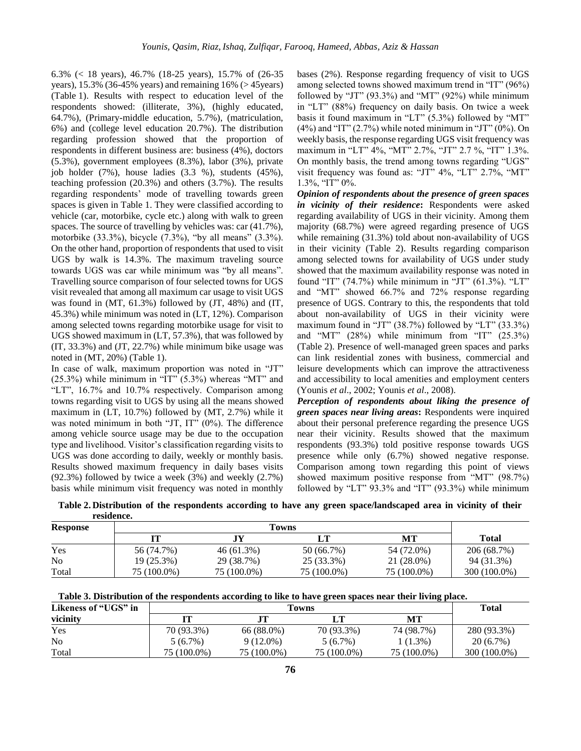6.3% (< 18 years), 46.7% (18-25 years), 15.7% of (26-35 years),  $15.3\%$  (36-45% years) and remaining  $16\%$  ( $> 45$ years) (Table 1). Results with respect to education level of the respondents showed: (illiterate, 3%), (highly educated, 64.7%), (Primary-middle education, 5.7%), (matriculation, 6%) and (college level education 20.7%). The distribution regarding profession showed that the proportion of respondents in different business are: business (4%), doctors (5.3%), government employees (8.3%), labor (3%), private job holder (7%), house ladies (3.3 %), students (45%), teaching profession (20.3%) and others (3.7%). The results regarding respondents' mode of travelling towards green spaces is given in Table 1. They were classified according to vehicle (car, motorbike, cycle etc.) along with walk to green spaces. The source of travelling by vehicles was: car (41.7%), motorbike (33.3%), bicycle (7.3%), "by all means" (3.3%). On the other hand, proportion of respondents that used to visit UGS by walk is 14.3%. The maximum traveling source towards UGS was car while minimum was "by all means". Travelling source comparison of four selected towns for UGS visit revealed that among all maximum car usage to visit UGS was found in (MT, 61.3%) followed by (JT, 48%) and (IT, 45.3%) while minimum was noted in (LT, 12%). Comparison among selected towns regarding motorbike usage for visit to UGS showed maximum in (LT, 57.3%), that was followed by (IT, 33.3%) and (JT, 22.7%) while minimum bike usage was noted in (MT, 20%) (Table 1).

In case of walk, maximum proportion was noted in "JT" (25.3%) while minimum in "IT" (5.3%) whereas "MT" and "LT", 16.7% and 10.7% respectively. Comparison among towns regarding visit to UGS by using all the means showed maximum in (LT, 10.7%) followed by (MT, 2.7%) while it was noted minimum in both "JT, IT" (0%). The difference among vehicle source usage may be due to the occupation type and livelihood. Visitor's classification regarding visits to UGS was done according to daily, weekly or monthly basis. Results showed maximum frequency in daily bases visits (92.3%) followed by twice a week (3%) and weekly (2.7%) basis while minimum visit frequency was noted in monthly

bases (2%). Response regarding frequency of visit to UGS among selected towns showed maximum trend in "IT" (96%) followed by "JT" (93.3%) and "MT" (92%) while minimum in "LT" (88%) frequency on daily basis. On twice a week basis it found maximum in "LT" (5.3%) followed by "MT"  $(4\%)$  and "IT"  $(2.7\%)$  while noted minimum in "JT"  $(0\%)$ . On weekly basis, the response regarding UGS visit frequency was maximum in "LT" 4%, "MT" 2.7%, "JT" 2.7 %, "IT" 1.3%. On monthly basis, the trend among towns regarding "UGS" visit frequency was found as: "JT" 4%, "LT" 2.7%, "MT" 1.3%, "IT" 0%.

*Opinion of respondents about the presence of green spaces in vicinity of their residence***:** Respondents were asked regarding availability of UGS in their vicinity. Among them majority (68.7%) were agreed regarding presence of UGS while remaining (31.3%) told about non-availability of UGS in their vicinity (Table 2). Results regarding comparison among selected towns for availability of UGS under study showed that the maximum availability response was noted in found "IT" (74.7%) while minimum in "JT" (61.3%). "LT" and "MT" showed 66.7% and 72% response regarding presence of UGS. Contrary to this, the respondents that told about non-availability of UGS in their vicinity were maximum found in "JT" (38.7%) followed by "LT" (33.3%) and "MT" (28%) while minimum from "IT" (25.3%) (Table 2). Presence of well-managed green spaces and parks can link residential zones with business, commercial and leisure developments which can improve the attractiveness and accessibility to local amenities and employment centers (Younis *et al*., 2002; Younis *et al*., 2008).

*Perception of respondents about liking the presence of green spaces near living areas***:** Respondents were inquired about their personal preference regarding the presence UGS near their vicinity. Results showed that the maximum respondents (93.3%) told positive response towards UGS presence while only (6.7%) showed negative response. Comparison among town regarding this point of views showed maximum positive response from "MT" (98.7%) followed by "LT" 93.3% and "IT" (93.3%) while minimum

| .<br><b>Response</b> |             |              |             |             |              |
|----------------------|-------------|--------------|-------------|-------------|--------------|
|                      | П           |              | LТ          | MТ          | <b>Total</b> |
| Yes                  | 56 (74.7%)  | $46(61.3\%)$ | 50 (66.7%)  | 54 (72.0%)  | 206 (68.7%)  |
| N <sub>0</sub>       | 19 (25.3%)  | 29 (38.7%)   | 25 (33.3%)  | 21 (28.0%)  | 94 (31.3%)   |
| Total                | 75 (100.0%) | 75 (100.0%)  | 75 (100.0%) | 75 (100.0%) | 300 (100.0%) |

**Table 2. Distribution of the respondents according to have any green space/landscaped area in vicinity of their residence.**

| Likeness of "UGS" in | <b>Total</b> |             |             |             |              |
|----------------------|--------------|-------------|-------------|-------------|--------------|
| vicinity             |              |             | г т         | MТ          |              |
| Yes                  | 70 (93.3%)   | 66 (88.0%)  | 70 (93.3%)  | 74 (98.7%)  | 280 (93.3%)  |
| N <sub>0</sub>       | $5(6.7\%)$   | $9(12.0\%)$ | $5(6.7\%)$  | 1 (1.3%)    | $20(6.7\%)$  |
| Total                | 75 (100.0%)  | 75 (100.0%) | 75 (100.0%) | 75 (100.0%) | 300 (100.0%) |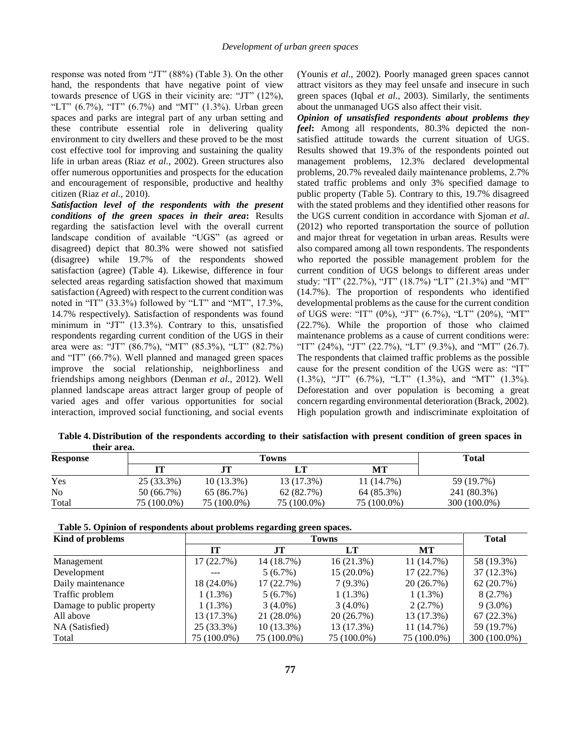response was noted from "JT" (88%) (Table 3). On the other hand, the respondents that have negative point of view towards presence of UGS in their vicinity are: "JT" (12%), "LT" (6.7%), "IT" (6.7%) and "MT" (1.3%). Urban green spaces and parks are integral part of any urban setting and these contribute essential role in delivering quality environment to city dwellers and these proved to be the most cost effective tool for improving and sustaining the quality life in urban areas (Riaz *et al.,* 2002). Green structures also offer numerous opportunities and prospects for the education and encouragement of responsible, productive and healthy citizen (Riaz *et al.,* 2010).

*Satisfaction level of the respondents with the present conditions of the green spaces in their area***:** Results regarding the satisfaction level with the overall current landscape condition of available "UGS" (as agreed or disagreed) depict that 80.3% were showed not satisfied (disagree) while 19.7% of the respondents showed satisfaction (agree) (Table 4). Likewise, difference in four selected areas regarding satisfaction showed that maximum satisfaction (Agreed) with respect to the current condition was noted in "IT" (33.3%) followed by "LT" and "MT", 17.3%, 14.7% respectively). Satisfaction of respondents was found minimum in "JT" (13.3%). Contrary to this, unsatisfied respondents regarding current condition of the UGS in their area were as: "JT" (86.7%), "MT" (85.3%), "LT" (82.7%) and "IT" (66.7%). Well planned and managed green spaces improve the social relationship, neighborliness and friendships among neighbors (Denman *et al*., 2012). Well planned landscape areas attract larger group of people of varied ages and offer various opportunities for social interaction, improved social functioning, and social events (Younis *et al*., 2002). Poorly managed green spaces cannot attract visitors as they may feel unsafe and insecure in such green spaces (Iqbal *et al*., 2003). Similarly, the sentiments about the unmanaged UGS also affect their visit.

*Opinion of unsatisfied respondents about problems they feel***:** Among all respondents, 80.3% depicted the nonsatisfied attitude towards the current situation of UGS. Results showed that 19.3% of the respondents pointed out management problems, 12.3% declared developmental problems, 20.7% revealed daily maintenance problems, 2.7% stated traffic problems and only 3% specified damage to public property (Table 5). Contrary to this, 19.7% disagreed with the stated problems and they identified other reasons for the UGS current condition in accordance with Sjoman *et al*. (2012) who reported transportation the source of pollution and major threat for vegetation in urban areas. Results were also compared among all town respondents. The respondents who reported the possible management problem for the current condition of UGS belongs to different areas under study: "IT" (22.7%), "JT" (18.7%) "LT" (21.3%) and "MT" (14.7%). The proportion of respondents who identified developmental problems as the cause for the current condition of UGS were: "IT" (0%), "JT" (6.7%), "LT" (20%), "MT" (22.7%). While the proportion of those who claimed maintenance problems as a cause of current conditions were: "IT" (24%), "JT" (22.7%), "LT" (9.3%), and "MT" (26.7). The respondents that claimed traffic problems as the possible cause for the present condition of the UGS were as: "IT" (1.3%), "JT" (6.7%), "LT" (1.3%), and "MT" (1.3%). Deforestation and over population is becoming a great concern regarding environmental deterioration (Brack, 2002). High population growth and indiscriminate exploitation of

**Table 4. Distribution of the respondents according to their satisfaction with present condition of green spaces in their area.**

| <b>Response</b> |             | Total        |             |             |              |
|-----------------|-------------|--------------|-------------|-------------|--------------|
|                 |             |              |             | MТ          |              |
| Yes             | 25 (33.3%)  | $10(13.3\%)$ | 13 (17.3%)  | 11 (14.7%)  | 59 (19.7%)   |
| N <sub>o</sub>  | 50 (66.7%)  | 65 (86.7%)   | 62 (82.7%)  | 64 (85.3%)  | 241 (80.3%)  |
| Total           | 75 (100.0%) | 75 (100.0%)  | 75 (100.0%) | 75 (100.0%) | 300 (100.0%) |

| Kind of problems          |             | <b>Total</b> |              |             |              |
|---------------------------|-------------|--------------|--------------|-------------|--------------|
|                           | TТ          | JT           | LT           | MТ          |              |
| Management                | 17(22.7%)   | 14 (18.7%)   | 16(21.3%)    | 11 (14.7%)  | 58 (19.3%)   |
| Development               | ---         | $5(6.7\%)$   | $15(20.0\%)$ | 17(22.7%)   | $37(12.3\%)$ |
| Daily maintenance         | 18 (24.0%)  | 17 (22.7%)   | $7(9.3\%)$   | 20(26.7%)   | 62(20.7%)    |
| Traffic problem           | $1(1.3\%)$  | $5(6.7\%)$   | $1(1.3\%)$   | $1(1.3\%)$  | $8(2.7\%)$   |
| Damage to public property | $1(1.3\%)$  | $3(4.0\%)$   | $3(4.0\%)$   | 2(2.7%)     | $9(3.0\%)$   |
| All above                 | 13 (17.3%)  | 21 (28.0%)   | 20(26.7%)    | 13 (17.3%)  | 67(22.3%)    |
| NA (Satisfied)            | 25 (33.3%)  | $10(13.3\%)$ | 13 (17.3%)   | 11 (14.7%)  | 59 (19.7%)   |
| Total                     | 75 (100.0%) | 75 (100.0%)  | 75 (100.0%)  | 75 (100.0%) | 300 (100.0%) |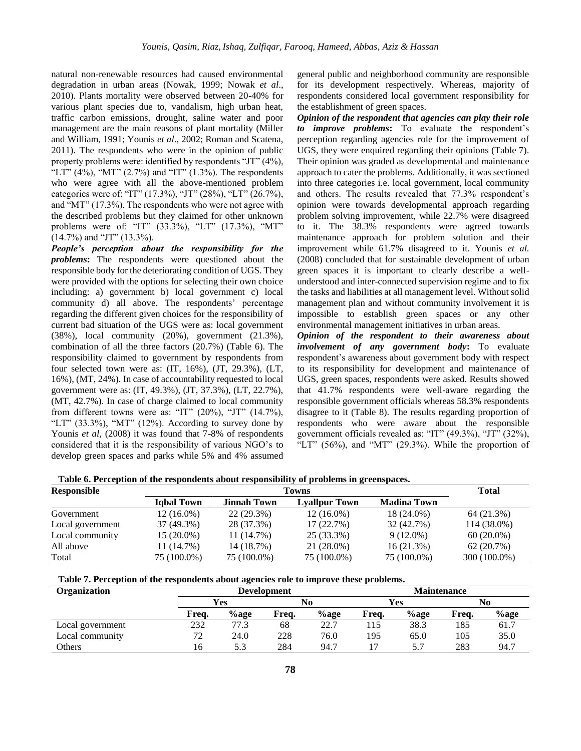natural non-renewable resources had caused environmental degradation in urban areas (Nowak, 1999; Nowak *et al*., 2010). Plants mortality were observed between 20-40% for various plant species due to, vandalism, high urban heat, traffic carbon emissions, drought, saline water and poor management are the main reasons of plant mortality (Miller and William, 1991; Younis *et al*., 2002; Roman and Scatena, 2011). The respondents who were in the opinion of public property problems were: identified by respondents "JT" (4%), "LT"  $(4\%)$ , "MT"  $(2.7\%)$  and "IT"  $(1.3\%)$ . The respondents who were agree with all the above-mentioned problem categories were of: "IT" (17.3%), "JT" (28%), "LT" (26.7%), and "MT" (17.3%). The respondents who were not agree with the described problems but they claimed for other unknown problems were of: "IT" (33.3%), "LT" (17.3%), "MT"  $(14.7\%)$  and "JT"  $(13.3\%).$ 

*People's perception about the responsibility for the problems***:** The respondents were questioned about the responsible body for the deteriorating condition of UGS. They were provided with the options for selecting their own choice including: a) government b) local government c) local community d) all above. The respondents' percentage regarding the different given choices for the responsibility of current bad situation of the UGS were as: local government (38%), local community (20%), government (21.3%), combination of all the three factors (20.7%) (Table 6). The responsibility claimed to government by respondents from four selected town were as: (IT, 16%), (JT, 29.3%), (LT, 16%), (MT, 24%). In case of accountability requested to local government were as: (IT, 49.3%), (JT, 37.3%), (LT, 22.7%), (MT, 42.7%). In case of charge claimed to local community from different towns were as: "IT" (20%), "JT" (14.7%), "LT"  $(33.3\%)$ , "MT"  $(12\%)$ . According to survey done by Younis *et al*, (2008) it was found that 7-8% of respondents considered that it is the responsibility of various NGO's to develop green spaces and parks while 5% and 4% assumed

general public and neighborhood community are responsible for its development respectively. Whereas, majority of respondents considered local government responsibility for the establishment of green spaces.

*Opinion of the respondent that agencies can play their role to improve problems***:** To evaluate the respondent's perception regarding agencies role for the improvement of UGS, they were enquired regarding their opinions (Table 7). Their opinion was graded as developmental and maintenance approach to cater the problems. Additionally, it was sectioned into three categories i.e. local government, local community and others. The results revealed that 77.3% respondent's opinion were towards developmental approach regarding problem solving improvement, while 22.7% were disagreed to it. The 38.3% respondents were agreed towards maintenance approach for problem solution and their improvement while 61.7% disagreed to it. Younis *et al.* (2008) concluded that for sustainable development of urban green spaces it is important to clearly describe a wellunderstood and inter-connected supervision regime and to fix the tasks and liabilities at all management level. Without solid management plan and without community involvement it is impossible to establish green spaces or any other environmental management initiatives in urban areas.

*Opinion of the respondent to their awareness about involvement of any government body***:** To evaluate respondent's awareness about government body with respect to its responsibility for development and maintenance of UGS, green spaces, respondents were asked. Results showed that 41.7% respondents were well-aware regarding the responsible government officials whereas 58.3% respondents disagree to it (Table 8). The results regarding proportion of respondents who were aware about the responsible government officials revealed as: "IT" (49.3%), "JT" (32%), "LT" (56%), and "MT" (29.3%). While the proportion of

| Table 6. Perception of the respondents about responsibility of problems in greenspaces. |                   |                    |                      |                    |              |  |  |  |
|-----------------------------------------------------------------------------------------|-------------------|--------------------|----------------------|--------------------|--------------|--|--|--|
| <b>Responsible</b>                                                                      |                   | <b>Towns</b>       |                      |                    |              |  |  |  |
|                                                                                         | <b>Igbal Town</b> | <b>Jinnah Town</b> | <b>Lyallpur Town</b> | <b>Madina Town</b> |              |  |  |  |
| Government                                                                              | $12(16.0\%)$      | $22(29.3\%)$       | $12(16.0\%)$         | 18 (24.0%)         | 64 (21.3%)   |  |  |  |
| Local government                                                                        | 37 (49.3%)        | 28 (37.3%)         | 17(22.7%)            | 32 (42.7%)         | 114 (38.0%)  |  |  |  |
| Local community                                                                         | $15(20.0\%)$      | 11 (14.7%)         | 25 (33.3%)           | $9(12.0\%)$        | $60(20.0\%)$ |  |  |  |
| All above                                                                               | 11 (14.7%)        | 14 (18.7%)         | 21 (28.0%)           | 16(21.3%)          | 62(20.7%)    |  |  |  |
| Total                                                                                   | 75 (100.0%)       | 75 (100.0%)        | 75 (100.0%)          | 75 (100.0%)        | 300 (100.0%) |  |  |  |

**Table 6. Perception of the respondents about responsibility of problems in greenspaces.**

**Table 7. Perception of the respondents about agencies role to improve these problems.**

| Organization     |       |         | <b>Development</b> |         | <b>Maintenance</b> |            |       |             |
|------------------|-------|---------|--------------------|---------|--------------------|------------|-------|-------------|
|                  |       | Yes     |                    | No      |                    | <b>Yes</b> |       | No          |
|                  | Freq. | $%$ age | Frea.              | $%$ age | Freq.              | $%$ age    | Freq. | <b>%age</b> |
| Local government | 232   | 77.3    | 68                 | 22.7    | . 15               | 38.3       | 185   | 61.7        |
| Local community  | 72    | 24.0    | 228                | 76.0    | 195                | 65.0       | 105   | 35.0        |
| Others           | 16    | 5.3     | 284                | 94.7    |                    | 5.7        | 283   | 94.7        |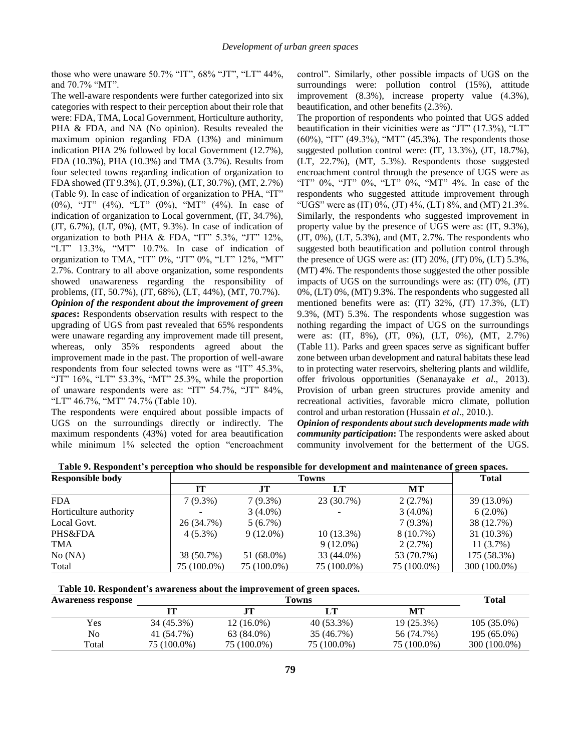those who were unaware 50.7% "IT", 68% "JT", "LT" 44%, and 70.7% "MT".

The well-aware respondents were further categorized into six categories with respect to their perception about their role that were: FDA, TMA, Local Government, Horticulture authority, PHA & FDA, and NA (No opinion). Results revealed the maximum opinion regarding FDA (13%) and minimum indication PHA 2% followed by local Government (12.7%), FDA (10.3%), PHA (10.3%) and TMA (3.7%). Results from four selected towns regarding indication of organization to FDA showed (IT 9.3%), (JT, 9.3%), (LT, 30.7%), (MT, 2.7%) (Table 9). In case of indication of organization to PHA, "IT" (0%), "JT" (4%), "LT" (0%), "MT" (4%). In case of indication of organization to Local government, (IT, 34.7%), (JT, 6.7%), (LT, 0%), (MT, 9.3%). In case of indication of organization to both PHA & FDA, "IT" 5.3%, "JT" 12%, "LT" 13.3%, "MT" 10.7%. In case of indication of organization to TMA, "IT" 0%, "JT" 0%, "LT" 12%, "MT" 2.7%. Contrary to all above organization, some respondents showed unawareness regarding the responsibility of problems, (IT, 50.7%), (JT, 68%), (LT, 44%), (MT, 70.7%). *Opinion of the respondent about the improvement of green spaces***:** Respondents observation results with respect to the

upgrading of UGS from past revealed that 65% respondents were unaware regarding any improvement made till present, whereas, only 35% respondents agreed about the improvement made in the past. The proportion of well-aware respondents from four selected towns were as "IT" 45.3%, "JT" 16%, "LT" 53.3%, "MT" 25.3%, while the proportion of unaware respondents were as: "IT" 54.7%, "JT" 84%, "LT" 46.7%, "MT" 74.7% (Table 10).

The respondents were enquired about possible impacts of UGS on the surroundings directly or indirectly. The maximum respondents (43%) voted for area beautification while minimum 1% selected the option "encroachment"

control". Similarly, other possible impacts of UGS on the surroundings were: pollution control (15%), attitude improvement (8.3%), increase property value (4.3%), beautification, and other benefits (2.3%).

The proportion of respondents who pointed that UGS added beautification in their vicinities were as "JT" (17.3%), "LT" (60%), "IT" (49.3%), "MT" (45.3%). The respondents those suggested pollution control were: (IT, 13.3%), (JT, 18.7%), (LT, 22.7%), (MT, 5.3%). Respondents those suggested encroachment control through the presence of UGS were as "IT" 0%, "JT" 0%, "LT" 0%, "MT" 4%. In case of the respondents who suggested attitude improvement through "UGS" were as  $(IT) 0\%$ ,  $(JT) 4\%$ ,  $(LT) 8\%$ , and  $(MT) 21.3\%$ . Similarly, the respondents who suggested improvement in property value by the presence of UGS were as: (IT, 9.3%),  $(T, 0\%)$ ,  $(LT, 5.3\%)$ , and  $(MT, 2.7\%$ . The respondents who suggested both beautification and pollution control through the presence of UGS were as: (IT) 20%, (JT) 0%, (LT) 5.3%, (MT) 4%. The respondents those suggested the other possible impacts of UGS on the surroundings were as: (IT) 0%, (JT) 0%, (LT) 0%, (MT) 9.3%. The respondents who suggested all mentioned benefits were as: (IT) 32%, (JT) 17.3%, (LT) 9.3%, (MT) 5.3%. The respondents whose suggestion was nothing regarding the impact of UGS on the surroundings were as: (IT, 8%), (JT, 0%), (LT, 0%), (MT, 2.7%) (Table 11). Parks and green spaces serve as significant buffer zone between urban development and natural habitats these lead to in protecting water reservoirs, sheltering plants and wildlife, offer frivolous opportunities (Senanayake *et al*., 2013). Provision of urban green structures provide amenity and recreational activities, favorable micro climate, pollution control and urban restoration (Hussain *et al*., 2010.).

*Opinion of respondents about such developments made with community participation***:** The respondents were asked about community involvement for the betterment of the UGS.

| <b>Responsible body</b> |             | <b>Towns</b> |              |             |              |  |  |
|-------------------------|-------------|--------------|--------------|-------------|--------------|--|--|
|                         | IТ          | .IT          | LT           | <b>MT</b>   |              |  |  |
| <b>FDA</b>              | $7(9.3\%)$  | $7(9.3\%)$   | 23 (30.7%)   | 2(2.7%)     | 39 (13.0%)   |  |  |
| Horticulture authority  |             | $3(4.0\%)$   |              | $3(4.0\%)$  | $6(2.0\%)$   |  |  |
| Local Govt.             | 26 (34.7%)  | $5(6.7\%)$   |              | $7(9.3\%)$  | 38 (12.7%)   |  |  |
| PHS&FDA                 | $4(5.3\%)$  | $9(12.0\%)$  | $10(13.3\%)$ | $8(10.7\%)$ | 31 (10.3%)   |  |  |
| <b>TMA</b>              |             |              | $9(12.0\%)$  | 2(2.7%)     | $11(3.7\%)$  |  |  |
| No (NA)                 | 38 (50.7%)  | 51 (68.0%)   | 33 (44.0%)   | 53 (70.7%)  | 175 (58.3%)  |  |  |
| Total                   | 75 (100.0%) | 75 (100.0%)  | 75 (100.0%)  | 75 (100.0%) | 300 (100.0%) |  |  |

**Table 9. Respondent's perception who should be responsible for development and maintenance of green spaces.**

| Table 10. Respondent's awareness about the improvement of green spaces. |  |  |
|-------------------------------------------------------------------------|--|--|
|-------------------------------------------------------------------------|--|--|

| <b>Awareness response</b> |             | <b>Total</b> |             |             |               |
|---------------------------|-------------|--------------|-------------|-------------|---------------|
|                           |             |              |             | MТ          |               |
| Yes                       | 34 (45.3%)  | $12(16.0\%)$ | 40 (53.3%)  | 19 (25.3%)  | $105(35.0\%)$ |
| No                        | 41 (54.7%)  | 63 (84.0%)   | 35 (46.7%)  | 56 (74.7%)  | 195 (65.0%)   |
| Total                     | 75 (100.0%) | 75 (100.0%)  | 75 (100.0%) | 75 (100.0%) | 300 (100.0%)  |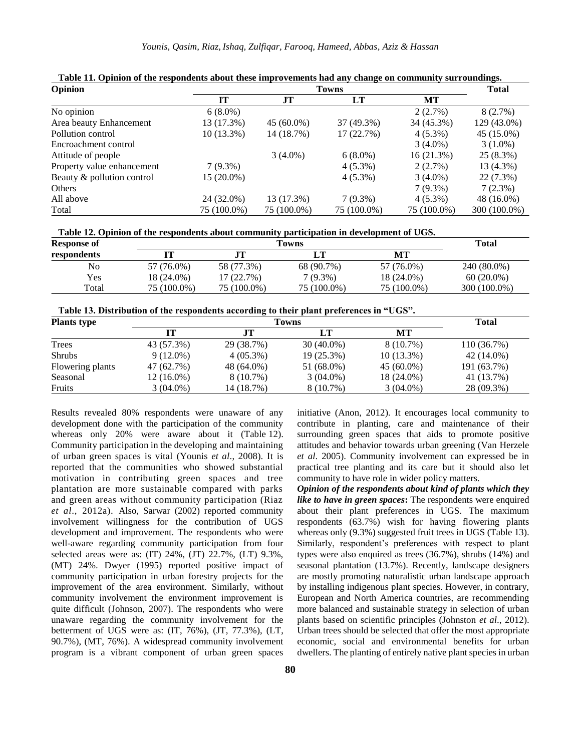| Opinion                    | <b>Towns</b> |              |             |              | Total        |
|----------------------------|--------------|--------------|-------------|--------------|--------------|
|                            | <b>IT</b>    | <b>JT</b>    | LT          | MT           |              |
| No opinion                 | $6(8.0\%)$   |              |             | 2(2.7%)      | 8(2.7%)      |
| Area beauty Enhancement    | 13 (17.3%)   | $45(60.0\%)$ | 37 (49.3%)  | 34 (45.3%)   | 129 (43.0%)  |
| Pollution control          | $10(13.3\%)$ | 14 (18.7%)   | 17(22.7%)   | $4(5.3\%)$   | 45 (15.0%)   |
| Encroachment control       |              |              |             | $3(4.0\%)$   | $3(1.0\%)$   |
| Attitude of people         |              | $3(4.0\%)$   | $6(8.0\%)$  | $16(21.3\%)$ | $25(8.3\%)$  |
| Property value enhancement | $7(9.3\%)$   |              | $4(5.3\%)$  | 2(2.7%)      | 13 (4.3%)    |
| Beauty & pollution control | 15 (20.0%)   |              | $4(5.3\%)$  | $3(4.0\%)$   | $22(7.3\%)$  |
| Others                     |              |              |             | $7(9.3\%)$   | $7(2.3\%)$   |
| All above                  | 24 (32.0%)   | 13 (17.3%)   | $7(9.3\%)$  | $4(5.3\%)$   | 48 (16.0%)   |
| Total                      | 75 (100.0%)  | 75 (100.0%)  | 75 (100.0%) | 75 (100.0%)  | 300 (100.0%) |

**Table 11. Opinion of the respondents about these improvements had any change on community surroundings.**

| Table 12. Opinion of the respondents about community participation in development of UGS. |  |  |
|-------------------------------------------------------------------------------------------|--|--|
|                                                                                           |  |  |

| <b>Response of</b> | Towns       |             |             | <b>Total</b> |              |
|--------------------|-------------|-------------|-------------|--------------|--------------|
| respondents        | П           |             | LT          | MТ           |              |
| No                 | 57 (76.0%)  | 58 (77.3%)  | 68 (90.7%)  | 57 (76.0%)   | 240 (80.0%)  |
| Yes                | 18 (24.0%)  | 17(22.7%)   | 7 (9.3%)    | 18 (24.0%)   | $60(20.0\%)$ |
| Total              | 75 (100.0%) | 75 (100.0%) | 75 (100.0%) | 75 (100.0%)  | 300 (100.0%) |

| Table 13. Distribution of the respondents according to their plant preferences in "UGS". |  |  |  |
|------------------------------------------------------------------------------------------|--|--|--|
|------------------------------------------------------------------------------------------|--|--|--|

| <b>Plants type</b> | <b>Towns</b> |             |              |              | <b>Total</b> |
|--------------------|--------------|-------------|--------------|--------------|--------------|
|                    |              |             | LT           | MТ           |              |
| Trees              | 43 (57.3%)   | 29 (38.7%)  | $30(40.0\%)$ | $8(10.7\%)$  | 110 (36.7%)  |
| <b>Shrubs</b>      | $9(12.0\%)$  | $4(05.3\%)$ | 19 (25.3%)   | $10(13.3\%)$ | 42 (14.0%)   |
| Flowering plants   | 47 (62.7%)   | 48 (64.0%)  | 51 (68.0%)   | $45(60.0\%)$ | 191 (63.7%)  |
| Seasonal           | $12(16.0\%)$ | $8(10.7\%)$ | $3(04.0\%)$  | 18 (24.0%)   | 41 (13.7%)   |
| Fruits             | $3(04.0\%)$  | 14 (18.7%)  | $8(10.7\%)$  | $3(04.0\%)$  | 28 (09.3%)   |

Results revealed 80% respondents were unaware of any development done with the participation of the community whereas only 20% were aware about it (Table 12). Community participation in the developing and maintaining of urban green spaces is vital (Younis *et al*., 2008). It is reported that the communities who showed substantial motivation in contributing green spaces and tree plantation are more sustainable compared with parks and green areas without community participation (Riaz *et al*., 2012a). Also, Sarwar (2002) reported community involvement willingness for the contribution of UGS development and improvement. The respondents who were well-aware regarding community participation from four selected areas were as: (IT) 24%, (JT) 22.7%, (LT) 9.3%, (MT) 24%. Dwyer (1995) reported positive impact of community participation in urban forestry projects for the improvement of the area environment. Similarly, without community involvement the environment improvement is quite difficult (Johnson, 2007). The respondents who were unaware regarding the community involvement for the betterment of UGS were as: (IT, 76%), (JT, 77.3%), (LT, 90.7%), (MT, 76%). A widespread community involvement program is a vibrant component of urban green spaces

initiative (Anon, 2012). It encourages local community to contribute in planting, care and maintenance of their surrounding green spaces that aids to promote positive attitudes and behavior towards urban greening (Van Herzele *et al*. 2005). Community involvement can expressed be in practical tree planting and its care but it should also let community to have role in wider policy matters.

*Opinion of the respondents about kind of plants which they like to have in green spaces***:** The respondents were enquired about their plant preferences in UGS. The maximum respondents (63.7%) wish for having flowering plants whereas only (9.3%) suggested fruit trees in UGS (Table 13). Similarly, respondent's preferences with respect to plant types were also enquired as trees (36.7%), shrubs (14%) and seasonal plantation (13.7%). Recently, landscape designers are mostly promoting naturalistic urban landscape approach by installing indigenous plant species. However, in contrary, European and North America countries, are recommending more balanced and sustainable strategy in selection of urban plants based on scientific principles (Johnston *et al*., 2012). Urban trees should be selected that offer the most appropriate economic, social and environmental benefits for urban dwellers. The planting of entirely native plant species in urban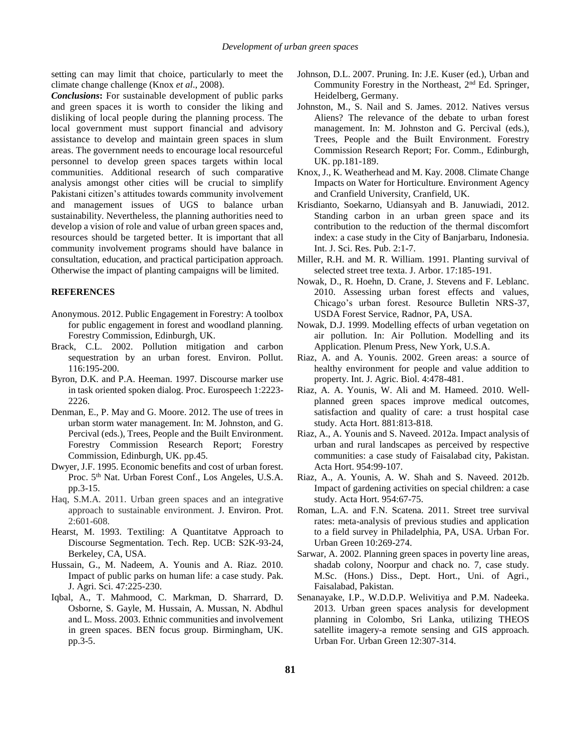setting can may limit that choice, particularly to meet the climate change challenge (Knox *et al*., 2008).

*Conclusions***:** For sustainable development of public parks and green spaces it is worth to consider the liking and disliking of local people during the planning process. The local government must support financial and advisory assistance to develop and maintain green spaces in slum areas. The government needs to encourage local resourceful personnel to develop green spaces targets within local communities. Additional research of such comparative analysis amongst other cities will be crucial to simplify Pakistani citizen's attitudes towards community involvement and management issues of UGS to balance urban sustainability. Nevertheless, the planning authorities need to develop a vision of role and value of urban green spaces and, resources should be targeted better. It is important that all community involvement programs should have balance in consultation, education, and practical participation approach. Otherwise the impact of planting campaigns will be limited.

#### **REFERENCES**

- Anonymous. 2012. Public Engagement in Forestry: A toolbox for public engagement in forest and woodland planning. Forestry Commission, Edinburgh, UK.
- Brack, C.L. 2002. Pollution mitigation and carbon sequestration by an urban forest. Environ. Pollut. 116:195-200.
- Byron, D.K. and P.A. Heeman. 1997. Discourse marker use in task oriented spoken dialog. Proc. Eurospeech 1:2223- 2226.
- Denman, E., P. May and G. Moore. 2012. The use of trees in urban storm water management. In: M. Johnston, and G. Percival (eds.), Trees, People and the Built Environment. Forestry Commission Research Report; Forestry Commission, Edinburgh, UK. pp.45.
- Dwyer, J.F. 1995. Economic benefits and cost of urban forest. Proc.  $5<sup>th</sup>$  Nat. Urban Forest Conf., Los Angeles, U.S.A. pp.3-15.
- Haq, S.M.A. 2011. Urban green spaces and an integrative approach to sustainable environment. J. Environ. Prot. 2:601-608.
- Hearst, M. 1993. Textiling: A Quantitatve Approach to Discourse Segmentation. Tech. Rep. UCB: S2K-93-24, Berkeley, CA, USA.
- Hussain, G., M. Nadeem, A. Younis and A. Riaz. 2010. Impact of public parks on human life: a case study. Pak. J. Agri. Sci. 47:225-230.
- Iqbal, A., T. Mahmood, C. Markman, D. Sharrard, D. Osborne, S. Gayle, M. Hussain, A. Mussan, N. Abdhul and L. Moss. 2003. Ethnic communities and involvement in green spaces. BEN focus group. Birmingham, UK. pp.3-5.
- Johnson, D.L. 2007. Pruning. In: J.E. Kuser (ed.), Urban and Community Forestry in the Northeast,  $2<sup>nd</sup>$  Ed. Springer, Heidelberg, Germany.
- Johnston, M., S. Nail and S. James. 2012. Natives versus Aliens? The relevance of the debate to urban forest management. In: M. Johnston and G. Percival (eds.), Trees, People and the Built Environment. Forestry Commission Research Report; For. Comm., Edinburgh, UK. pp.181-189.
- Knox, J., K. Weatherhead and M. Kay. 2008. Climate Change Impacts on Water for Horticulture. Environment Agency and Cranfield University, Cranfield, UK.
- Krisdianto, Soekarno, Udiansyah and B. Januwiadi, 2012. Standing carbon in an urban green space and its contribution to the reduction of the thermal discomfort index: a case study in the City of Banjarbaru, Indonesia. Int. J. Sci. Res. Pub. 2:1-7.
- Miller, R.H. and M. R. William. 1991. Planting survival of selected street tree texta. J. Arbor. 17:185-191.
- Nowak, D., R. Hoehn, D. Crane, J. Stevens and F. Leblanc. 2010. Assessing urban forest effects and values, Chicago's urban forest. Resource Bulletin NRS-37, USDA Forest Service, Radnor, PA, USA.
- Nowak, D.J. 1999. Modelling effects of urban vegetation on air pollution. In: Air Pollution. Modelling and its Application. Plenum Press, New York, U.S.A.
- Riaz, A. and A. Younis. 2002. Green areas: a source of healthy environment for people and value addition to property. Int. J. Agric. Biol. 4:478-481.
- Riaz, A. A. Younis, W. Ali and M. Hameed. 2010. Wellplanned green spaces improve medical outcomes, satisfaction and quality of care: a trust hospital case study. Acta Hort. 881:813-818.
- Riaz, A., A. Younis and S. Naveed. 2012a. Impact analysis of urban and rural landscapes as perceived by respective communities: a case study of Faisalabad city, Pakistan. Acta Hort. 954:99-107.
- Riaz, A., A. Younis, A. W. Shah and S. Naveed. 2012b. Impact of gardening activities on special children: a case study. Acta Hort. 954:67-75.
- Roman, L.A. and F.N. Scatena. 2011. Street tree survival rates: meta-analysis of previous studies and application to a field survey in Philadelphia, PA, USA. Urban For. Urban Green 10:269-274.
- Sarwar, A. 2002. Planning green spaces in poverty line areas, shadab colony, Noorpur and chack no. 7, case study. M.Sc. (Hons.) Diss., Dept. Hort., Uni. of Agri., Faisalabad, Pakistan.
- Senanayake, I.P., W.D.D.P. Welivitiya and P.M. Nadeeka. 2013. Urban green spaces analysis for development planning in Colombo, Sri Lanka, utilizing THEOS satellite imagery-a remote sensing and GIS approach. Urban For. Urban Green 12:307-314.